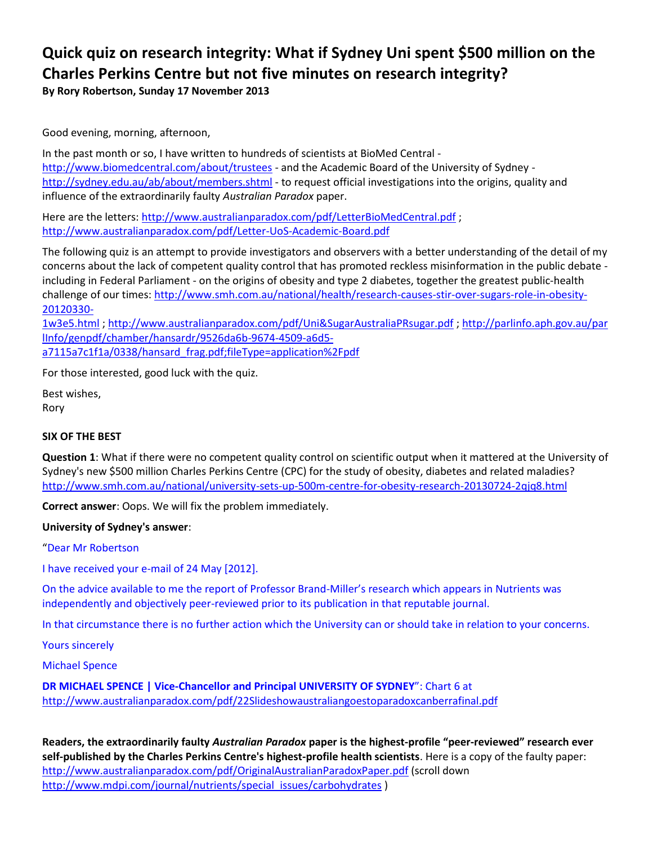# **Quick quiz on research integrity: What if Sydney Uni spent \$500 million on the Charles Perkins Centre but not five minutes on research integrity?**

**By Rory Robertson, Sunday 17 November 2013**

Good evening, morning, afternoon,

In the past month or so, I have written to hundreds of scientists at BioMed Central <http://www.biomedcentral.com/about/trustees> - and the Academic Board of the University of Sydney <http://sydney.edu.au/ab/about/members.shtml> - to request official investigations into the origins, quality and influence of the extraordinarily faulty *Australian Paradox* paper.

Here are the letters[: http://www.australianparadox.com/pdf/LetterBioMedCentral.pdf](http://www.australianparadox.com/pdf/LetterBioMedCentral.pdf) ; <http://www.australianparadox.com/pdf/Letter-UoS-Academic-Board.pdf>

The following quiz is an attempt to provide investigators and observers with a better understanding of the detail of my concerns about the lack of competent quality control that has promoted reckless misinformation in the public debate including in Federal Parliament - on the origins of obesity and type 2 diabetes, together the greatest public-health challenge of our times: [http://www.smh.com.au/national/health/research-causes-stir-over-sugars-role-in-obesity-](http://www.smh.com.au/national/health/research-causes-stir-over-sugars-role-in-obesity-20120330-1w3e5.html)[20120330-](http://www.smh.com.au/national/health/research-causes-stir-over-sugars-role-in-obesity-20120330-1w3e5.html)

[1w3e5.html](http://www.smh.com.au/national/health/research-causes-stir-over-sugars-role-in-obesity-20120330-1w3e5.html) ; <http://www.australianparadox.com/pdf/Uni&SugarAustraliaPRsugar.pdf> ; [http://parlinfo.aph.gov.au/par](http://parlinfo.aph.gov.au/parlInfo/genpdf/chamber/hansardr/9526da6b-9674-4509-a6d5-a7115a7c1f1a/0338/hansard_frag.pdf;fileType=application%2Fpdf) [lInfo/genpdf/chamber/hansardr/9526da6b-9674-4509-a6d5](http://parlinfo.aph.gov.au/parlInfo/genpdf/chamber/hansardr/9526da6b-9674-4509-a6d5-a7115a7c1f1a/0338/hansard_frag.pdf;fileType=application%2Fpdf) [a7115a7c1f1a/0338/hansard\\_frag.pdf;fileType=application%2Fpdf](http://parlinfo.aph.gov.au/parlInfo/genpdf/chamber/hansardr/9526da6b-9674-4509-a6d5-a7115a7c1f1a/0338/hansard_frag.pdf;fileType=application%2Fpdf)

For those interested, good luck with the quiz.

Best wishes, Rory

### **SIX OF THE BEST**

**Question 1**: What if there were no competent quality control on scientific output when it mattered at the University of Sydney's new \$500 million Charles Perkins Centre (CPC) for the study of obesity, diabetes and related maladies? <http://www.smh.com.au/national/university-sets-up-500m-centre-for-obesity-research-20130724-2qjq8.html>

**Correct answer**: Oops. We will fix the problem immediately.

### **University of Sydney's answer**:

"Dear Mr Robertson

I have received your e-mail of 24 May [2012].

On the advice available to me the report of Professor Brand-Miller's research which appears in Nutrients was independently and objectively peer-reviewed prior to its publication in that reputable journal.

In that circumstance there is no further action which the University can or should take in relation to your concerns.

Yours sincerely

Michael Spence

**DR MICHAEL SPENCE | Vice-Chancellor and Principal UNIVERSITY OF SYDNEY**": Chart 6 at <http://www.australianparadox.com/pdf/22Slideshowaustraliangoestoparadoxcanberrafinal.pdf>

**Readers, the extraordinarily faulty** *Australian Paradox* **paper is the highest-profile "peer-reviewed" research ever self-published by the Charles Perkins Centre's highest-profile health scientists**. Here is a copy of the faulty paper: <http://www.australianparadox.com/pdf/OriginalAustralianParadoxPaper.pdf> (scroll down [http://www.mdpi.com/journal/nutrients/special\\_issues/carbohydrates](http://www.mdpi.com/journal/nutrients/special_issues/carbohydrates) )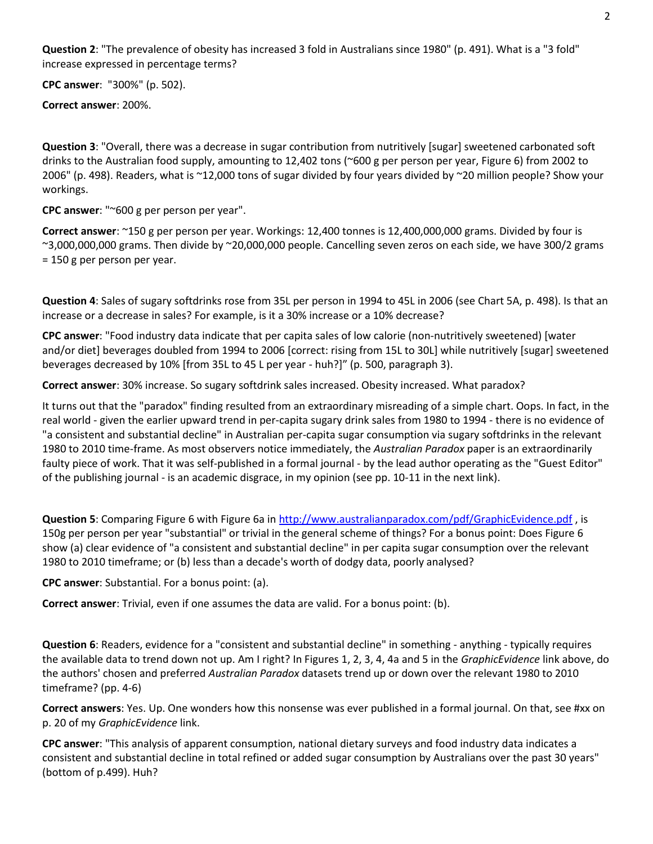**Question 2**: "The prevalence of obesity has increased 3 fold in Australians since 1980" (p. 491). What is a "3 fold" increase expressed in percentage terms?

**CPC answer**: "300%" (p. 502).

**Correct answer**: 200%.

**Question 3**: "Overall, there was a decrease in sugar contribution from nutritively [sugar] sweetened carbonated soft drinks to the Australian food supply, amounting to 12,402 tons (~600 g per person per year, Figure 6) from 2002 to 2006" (p. 498). Readers, what is ~12,000 tons of sugar divided by four years divided by ~20 million people? Show your workings.

**CPC answer**: "~600 g per person per year".

**Correct answer**: ~150 g per person per year. Workings: 12,400 tonnes is 12,400,000,000 grams. Divided by four is ~3,000,000,000 grams. Then divide by ~20,000,000 people. Cancelling seven zeros on each side, we have 300/2 grams = 150 g per person per year.

**Question 4**: Sales of sugary softdrinks rose from 35L per person in 1994 to 45L in 2006 (see Chart 5A, p. 498). Is that an increase or a decrease in sales? For example, is it a 30% increase or a 10% decrease?

**CPC answer**: "Food industry data indicate that per capita sales of low calorie (non-nutritively sweetened) [water and/or diet] beverages doubled from 1994 to 2006 [correct: rising from 15L to 30L] while nutritively [sugar] sweetened beverages decreased by 10% [from 35L to 45 L per year - huh?]" (p. 500, paragraph 3).

**Correct answer**: 30% increase. So sugary softdrink sales increased. Obesity increased. What paradox?

It turns out that the "paradox" finding resulted from an extraordinary misreading of a simple chart. Oops. In fact, in the real world - given the earlier upward trend in per-capita sugary drink sales from 1980 to 1994 - there is no evidence of "a consistent and substantial decline" in Australian per-capita sugar consumption via sugary softdrinks in the relevant 1980 to 2010 time-frame. As most observers notice immediately, the *Australian Paradox* paper is an extraordinarily faulty piece of work. That it was self-published in a formal journal - by the lead author operating as the "Guest Editor" of the publishing journal - is an academic disgrace, in my opinion (see pp. 10-11 in the next link).

**Question 5**: Comparing Figure 6 with Figure 6a i[n http://www.australianparadox.com/pdf/GraphicEvidence.pdf](http://www.australianparadox.com/pdf/GraphicEvidence.pdf) , is 150g per person per year "substantial" or trivial in the general scheme of things? For a bonus point: Does Figure 6 show (a) clear evidence of "a consistent and substantial decline" in per capita sugar consumption over the relevant 1980 to 2010 timeframe; or (b) less than a decade's worth of dodgy data, poorly analysed?

**CPC answer**: Substantial. For a bonus point: (a).

**Correct answer**: Trivial, even if one assumes the data are valid. For a bonus point: (b).

**Question 6**: Readers, evidence for a "consistent and substantial decline" in something - anything - typically requires the available data to trend down not up. Am I right? In Figures 1, 2, 3, 4, 4a and 5 in the *GraphicEvidence* link above, do the authors' chosen and preferred *Australian Paradox* datasets trend up or down over the relevant 1980 to 2010 timeframe? (pp. 4-6)

**Correct answers**: Yes. Up. One wonders how this nonsense was ever published in a formal journal. On that, see #xx on p. 20 of my *GraphicEvidence* link.

**CPC answer**: "This analysis of apparent consumption, national dietary surveys and food industry data indicates a consistent and substantial decline in total refined or added sugar consumption by Australians over the past 30 years" (bottom of p.499). Huh?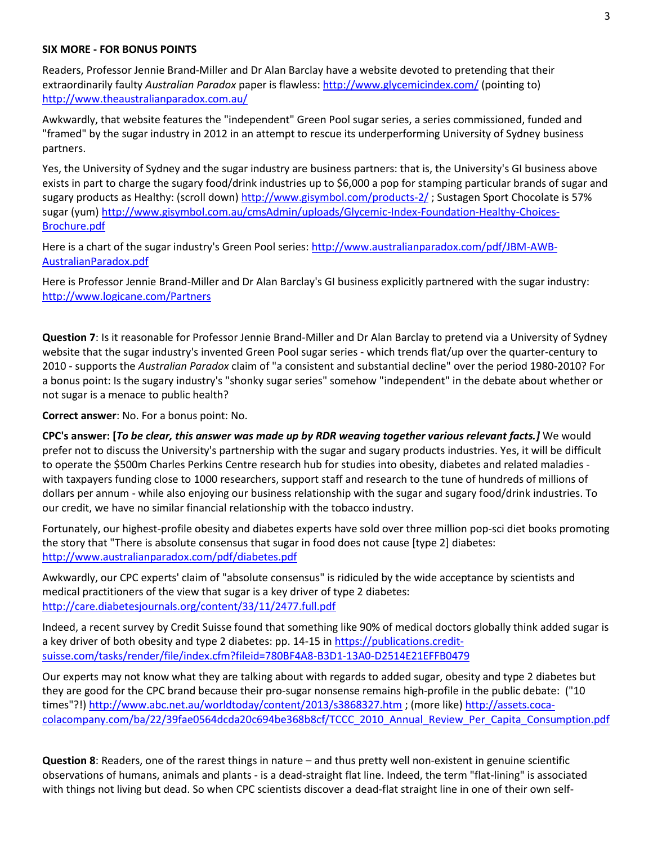#### **SIX MORE - FOR BONUS POINTS**

Readers, Professor Jennie Brand-Miller and Dr Alan Barclay have a website devoted to pretending that their extraordinarily faulty *Australian Paradox* paper is flawless[: http://www.glycemicindex.com/](http://www.glycemicindex.com/) (pointing to) <http://www.theaustralianparadox.com.au/>

Awkwardly, that website features the "independent" Green Pool sugar series, a series commissioned, funded and "framed" by the sugar industry in 2012 in an attempt to rescue its underperforming University of Sydney business partners.

Yes, the University of Sydney and the sugar industry are business partners: that is, the University's GI business above exists in part to charge the sugary food/drink industries up to \$6,000 a pop for stamping particular brands of sugar and sugary products as Healthy: (scroll down)<http://www.gisymbol.com/products-2/>; Sustagen Sport Chocolate is 57% sugar (yum) [http://www.gisymbol.com.au/cmsAdmin/uploads/Glycemic-Index-Foundation-Healthy-Choices-](http://www.gisymbol.com.au/cmsAdmin/uploads/Glycemic-Index-Foundation-Healthy-Choices-Brochure.pdf)[Brochure.pdf](http://www.gisymbol.com.au/cmsAdmin/uploads/Glycemic-Index-Foundation-Healthy-Choices-Brochure.pdf)

Here is a chart of the sugar industry's Green Pool series: [http://www.australianparadox.com/pdf/JBM-AWB-](http://www.australianparadox.com/pdf/JBM-AWB-AustralianParadox.pdf)[AustralianParadox.pdf](http://www.australianparadox.com/pdf/JBM-AWB-AustralianParadox.pdf)

Here is Professor Jennie Brand-Miller and Dr Alan Barclay's GI business explicitly partnered with the sugar industry: <http://www.logicane.com/Partners>

**Question 7**: Is it reasonable for Professor Jennie Brand-Miller and Dr Alan Barclay to pretend via a University of Sydney website that the sugar industry's invented Green Pool sugar series - which trends flat/up over the quarter-century to 2010 - supports the *Australian Paradox* claim of "a consistent and substantial decline" over the period 1980-2010? For a bonus point: Is the sugary industry's "shonky sugar series" somehow "independent" in the debate about whether or not sugar is a menace to public health?

**Correct answer**: No. For a bonus point: No.

**CPC's answer: [***To be clear, this answer was made up by RDR weaving together various relevant facts.]* We would prefer not to discuss the University's partnership with the sugar and sugary products industries. Yes, it will be difficult to operate the \$500m Charles Perkins Centre research hub for studies into obesity, diabetes and related maladies with taxpayers funding close to 1000 researchers, support staff and research to the tune of hundreds of millions of dollars per annum - while also enjoying our business relationship with the sugar and sugary food/drink industries. To our credit, we have no similar financial relationship with the tobacco industry.

Fortunately, our highest-profile obesity and diabetes experts have sold over three million pop-sci diet books promoting the story that "There is absolute consensus that sugar in food does not cause [type 2] diabetes: <http://www.australianparadox.com/pdf/diabetes.pdf>

Awkwardly, our CPC experts' claim of "absolute consensus" is ridiculed by the wide acceptance by scientists and medical practitioners of the view that sugar is a key driver of type 2 diabetes: <http://care.diabetesjournals.org/content/33/11/2477.full.pdf>

Indeed, a recent survey by Credit Suisse found that something like 90% of medical doctors globally think added sugar is a key driver of both obesity and type 2 diabetes: pp. 14-15 in [https://publications.credit](https://publications.credit-suisse.com/tasks/render/file/index.cfm?fileid=780BF4A8-B3D1-13A0-D2514E21EFFB0479)[suisse.com/tasks/render/file/index.cfm?fileid=780BF4A8-B3D1-13A0-D2514E21EFFB0479](https://publications.credit-suisse.com/tasks/render/file/index.cfm?fileid=780BF4A8-B3D1-13A0-D2514E21EFFB0479)

Our experts may not know what they are talking about with regards to added sugar, obesity and type 2 diabetes but they are good for the CPC brand because their pro-sugar nonsense remains high-profile in the public debate: ("10 times"?!)<http://www.abc.net.au/worldtoday/content/2013/s3868327.htm> ; (more like) [http://assets.coca](http://assets.coca-colacompany.com/ba/22/39fae0564dcda20c694be368b8cf/TCCC_2010_Annual_Review_Per_Capita_Consumption.pdf)[colacompany.com/ba/22/39fae0564dcda20c694be368b8cf/TCCC\\_2010\\_Annual\\_Review\\_Per\\_Capita\\_Consumption.pdf](http://assets.coca-colacompany.com/ba/22/39fae0564dcda20c694be368b8cf/TCCC_2010_Annual_Review_Per_Capita_Consumption.pdf)

**Question 8**: Readers, one of the rarest things in nature – and thus pretty well non-existent in genuine scientific observations of humans, animals and plants - is a dead-straight flat line. Indeed, the term "flat-lining" is associated with things not living but dead. So when CPC scientists discover a dead-flat straight line in one of their own self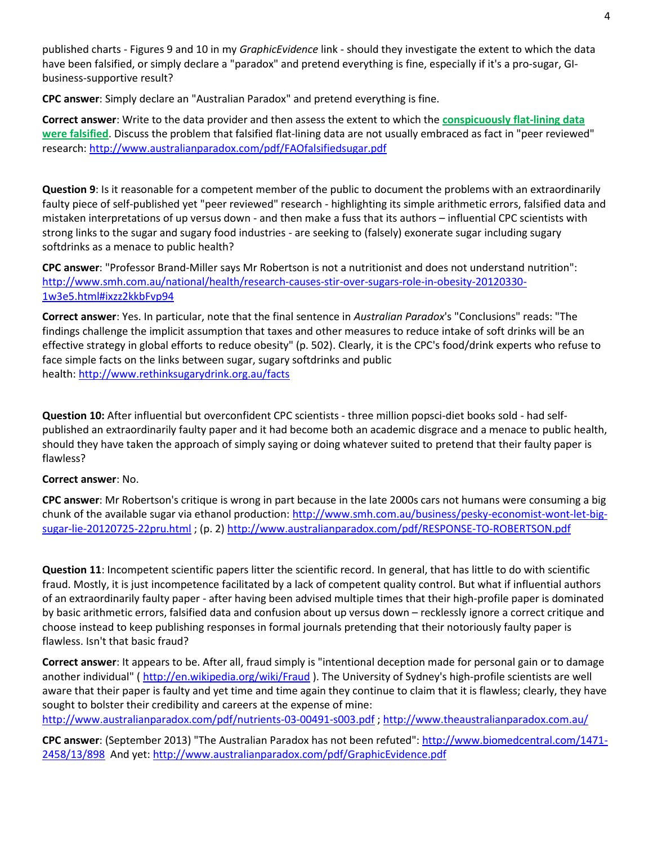published charts - Figures 9 and 10 in my *GraphicEvidence* link - should they investigate the extent to which the data have been falsified, or simply declare a "paradox" and pretend everything is fine, especially if it's a pro-sugar, GIbusiness-supportive result?

**CPC answer**: Simply declare an "Australian Paradox" and pretend everything is fine.

**Correct answer**: Write to the data provider and then assess the extent to which the **conspicuously flat-lining data were falsified**. Discuss the problem that falsified flat-lining data are not usually embraced as fact in "peer reviewed" research[: http://www.australianparadox.com/pdf/FAOfalsifiedsugar.pdf](http://www.australianparadox.com/pdf/FAOfalsifiedsugar.pdf)

**Question 9**: Is it reasonable for a competent member of the public to document the problems with an extraordinarily faulty piece of self-published yet "peer reviewed" research - highlighting its simple arithmetic errors, falsified data and mistaken interpretations of up versus down - and then make a fuss that its authors – influential CPC scientists with strong links to the sugar and sugary food industries - are seeking to (falsely) exonerate sugar including sugary softdrinks as a menace to public health?

**CPC answer**: "Professor Brand-Miller says Mr Robertson is not a nutritionist and does not understand nutrition": [http://www.smh.com.au/national/health/research-causes-stir-over-sugars-role-in-obesity-20120330-](http://www.smh.com.au/national/health/research-causes-stir-over-sugars-role-in-obesity-20120330-1w3e5.html#ixzz2kkbFvp94) [1w3e5.html#ixzz2kkbFvp94](http://www.smh.com.au/national/health/research-causes-stir-over-sugars-role-in-obesity-20120330-1w3e5.html#ixzz2kkbFvp94)

**Correct answer**: Yes. In particular, note that the final sentence in *Australian Paradox*'s "Conclusions" reads: "The findings challenge the implicit assumption that taxes and other measures to reduce intake of soft drinks will be an effective strategy in global efforts to reduce obesity" (p. 502). Clearly, it is the CPC's food/drink experts who refuse to face simple facts on the links between sugar, sugary softdrinks and public health: <http://www.rethinksugarydrink.org.au/facts>

**Question 10:** After influential but overconfident CPC scientists - three million popsci-diet books sold - had selfpublished an extraordinarily faulty paper and it had become both an academic disgrace and a menace to public health, should they have taken the approach of simply saying or doing whatever suited to pretend that their faulty paper is flawless?

#### **Correct answer**: No.

**CPC answer**: Mr Robertson's critique is wrong in part because in the late 2000s cars not humans were consuming a big chunk of the available sugar via ethanol production: [http://www.smh.com.au/business/pesky-economist-wont-let-big](http://www.smh.com.au/business/pesky-economist-wont-let-big-sugar-lie-20120725-22pru.html)[sugar-lie-20120725-22pru.html](http://www.smh.com.au/business/pesky-economist-wont-let-big-sugar-lie-20120725-22pru.html) ; (p. 2) <http://www.australianparadox.com/pdf/RESPONSE-TO-ROBERTSON.pdf>

**Question 11**: Incompetent scientific papers litter the scientific record. In general, that has little to do with scientific fraud. Mostly, it is just incompetence facilitated by a lack of competent quality control. But what if influential authors of an extraordinarily faulty paper - after having been advised multiple times that their high-profile paper is dominated by basic arithmetic errors, falsified data and confusion about up versus down – recklessly ignore a correct critique and choose instead to keep publishing responses in formal journals pretending that their notoriously faulty paper is flawless. Isn't that basic fraud?

**Correct answer**: It appears to be. After all, fraud simply is "intentional deception made for personal gain or to damage another individual" (<http://en.wikipedia.org/wiki/Fraud> ). The University of Sydney's high-profile scientists are well aware that their paper is faulty and yet time and time again they continue to claim that it is flawless; clearly, they have sought to bolster their credibility and careers at the expense of mine:

<http://www.australianparadox.com/pdf/nutrients-03-00491-s003.pdf> ;<http://www.theaustralianparadox.com.au/>

**CPC answer**: (September 2013) "The Australian Paradox has not been refuted": [http://www.biomedcentral.com/1471-](http://www.biomedcentral.com/1471-2458/13/898) [2458/13/898](http://www.biomedcentral.com/1471-2458/13/898) And yet:<http://www.australianparadox.com/pdf/GraphicEvidence.pdf>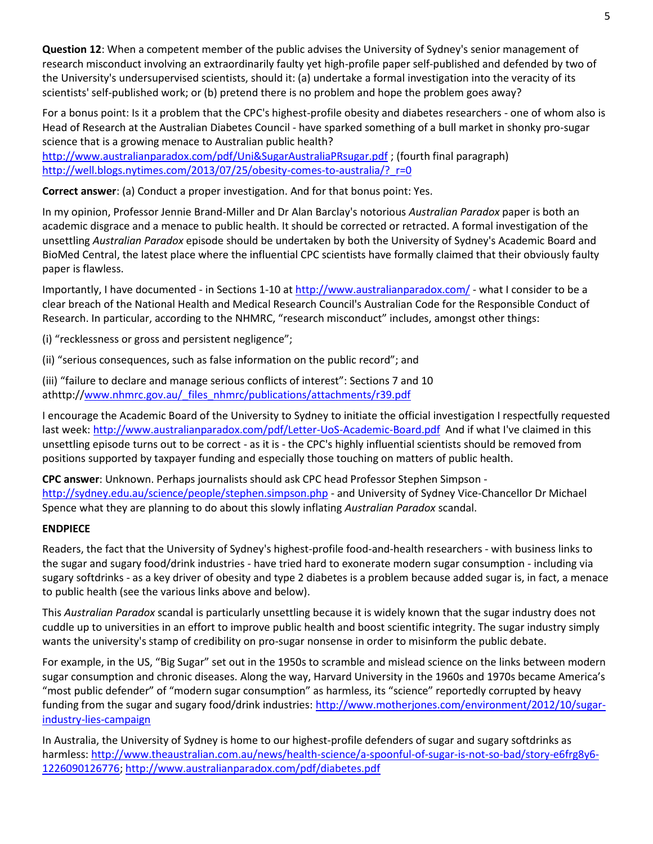**Question 12**: When a competent member of the public advises the University of Sydney's senior management of research misconduct involving an extraordinarily faulty yet high-profile paper self-published and defended by two of the University's undersupervised scientists, should it: (a) undertake a formal investigation into the veracity of its scientists' self-published work; or (b) pretend there is no problem and hope the problem goes away?

For a bonus point: Is it a problem that the CPC's highest-profile obesity and diabetes researchers - one of whom also is Head of Research at the Australian Diabetes Council - have sparked something of a bull market in shonky pro-sugar science that is a growing menace to Australian public health?

<http://www.australianparadox.com/pdf/Uni&SugarAustraliaPRsugar.pdf> ; (fourth final paragraph) http://well.blogs.nytimes.com/2013/07/25/obesity-comes-to-australia/? r=0

**Correct answer**: (a) Conduct a proper investigation. And for that bonus point: Yes.

In my opinion, Professor Jennie Brand-Miller and Dr Alan Barclay's notorious *Australian Paradox* paper is both an academic disgrace and a menace to public health. It should be corrected or retracted. A formal investigation of the unsettling *Australian Paradox* episode should be undertaken by both the University of Sydney's Academic Board and BioMed Central, the latest place where the influential CPC scientists have formally claimed that their obviously faulty paper is flawless.

Importantly, I have documented - in Sections 1-10 at<http://www.australianparadox.com/> - what I consider to be a clear breach of the National Health and Medical Research Council's Australian Code for the Responsible Conduct of Research. In particular, according to the NHMRC, "research misconduct" includes, amongst other things:

(i) "recklessness or gross and persistent negligence";

(ii) "serious consequences, such as false information on the public record"; and

(iii) "failure to declare and manage serious conflicts of interest": Sections 7 and 10 athttp:/[/www.nhmrc.gov.au/\\_files\\_nhmrc/publications/attachments/r39.pdf](http://www.nhmrc.gov.au/_files_nhmrc/publications/attachments/r39.pdf)

I encourage the Academic Board of the University to Sydney to initiate the official investigation I respectfully requested last week:<http://www.australianparadox.com/pdf/Letter-UoS-Academic-Board.pdf>And if what I've claimed in this unsettling episode turns out to be correct - as it is - the CPC's highly influential scientists should be removed from positions supported by taxpayer funding and especially those touching on matters of public health.

**CPC answer**: Unknown. Perhaps journalists should ask CPC head Professor Stephen Simpson <http://sydney.edu.au/science/people/stephen.simpson.php> - and University of Sydney Vice-Chancellor Dr Michael Spence what they are planning to do about this slowly inflating *Australian Paradox* scandal.

### **ENDPIECE**

Readers, the fact that the University of Sydney's highest-profile food-and-health researchers - with business links to the sugar and sugary food/drink industries - have tried hard to exonerate modern sugar consumption - including via sugary softdrinks - as a key driver of obesity and type 2 diabetes is a problem because added sugar is, in fact, a menace to public health (see the various links above and below).

This *Australian Paradox* scandal is particularly unsettling because it is widely known that the sugar industry does not cuddle up to universities in an effort to improve public health and boost scientific integrity. The sugar industry simply wants the university's stamp of credibility on pro-sugar nonsense in order to misinform the public debate.

For example, in the US, "Big Sugar" set out in the 1950s to scramble and mislead science on the links between modern sugar consumption and chronic diseases. Along the way, Harvard University in the 1960s and 1970s became America's "most public defender" of "modern sugar consumption" as harmless, its "science" reportedly corrupted by heavy funding from the sugar and sugary food/drink industries: [http://www.motherjones.com/environment/2012/10/sugar](http://www.motherjones.com/environment/2012/10/sugar-industry-lies-campaign)[industry-lies-campaign](http://www.motherjones.com/environment/2012/10/sugar-industry-lies-campaign)

In Australia, the University of Sydney is home to our highest-profile defenders of sugar and sugary softdrinks as harmless: [http://www.theaustralian.com.au/news/health-science/a-spoonful-of-sugar-is-not-so-bad/story-e6frg8y6-](http://www.theaustralian.com.au/news/health-science/a-spoonful-of-sugar-is-not-so-bad/story-e6frg8y6-1226090126776) [1226090126776;](http://www.theaustralian.com.au/news/health-science/a-spoonful-of-sugar-is-not-so-bad/story-e6frg8y6-1226090126776) <http://www.australianparadox.com/pdf/diabetes.pdf>